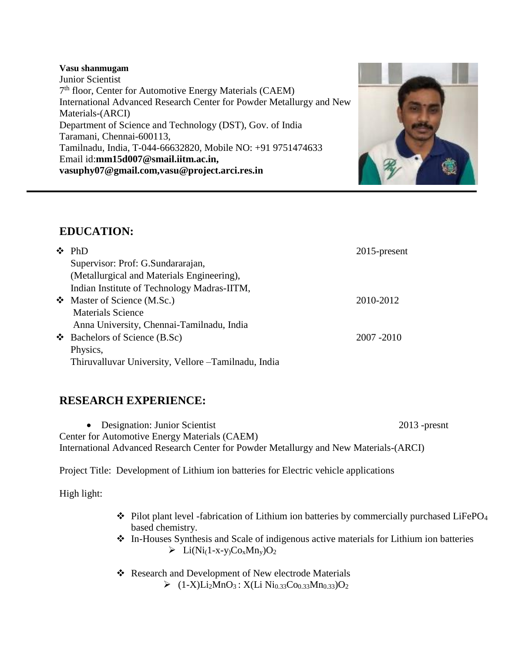#### **Vasu shanmugam**

Junior Scientist 7<sup>th</sup> floor, Center for Automotive Energy Materials (CAEM) International Advanced Research Center for Powder Metallurgy and New Materials-(ARCI) Department of Science and Technology (DST), Gov. of India Taramani, Chennai-600113, Tamilnadu, India, T-044-66632820, Mobile NO: +91 9751474633 Email id:**mm15d007@smail.iitm.ac.in, vasuphy07@gmail.com,vasu@project.arci.res.in**



# **EDUCATION:**

|  | $\div$ PhD                                           | 2015-present |
|--|------------------------------------------------------|--------------|
|  | Supervisor: Prof: G.Sundararajan,                    |              |
|  | (Metallurgical and Materials Engineering),           |              |
|  | Indian Institute of Technology Madras-IITM,          |              |
|  | Master of Science (M.Sc.)                            | 2010-2012    |
|  | <b>Materials Science</b>                             |              |
|  | Anna University, Chennai-Tamilnadu, India            |              |
|  | $\bullet$ Bachelors of Science (B.Sc)                | 2007 - 2010  |
|  | Physics,                                             |              |
|  | Thiruvalluvar University, Vellore - Tamilnadu, India |              |

# **RESEARCH EXPERIENCE:**

• Designation: Junior Scientist 2013 -presnt Center for Automotive Energy Materials (CAEM) International Advanced Research Center for Powder Metallurgy and New Materials-(ARCI)

Project Title: Development of Lithium ion batteries for Electric vehicle applications

High light:

- ❖ Pilot plant level -fabrication of Lithium ion batteries by commercially purchased LiFePO<sup>4</sup> based chemistry.
- ❖ In-Houses Synthesis and Scale of indigenous active materials for Lithium ion batteries  $\triangleright$  Li(Ni<sub>(1-X-Y)</sub>Co<sub>x</sub>Mn<sub>v</sub>)O<sub>2</sub>
- ❖ Research and Development of New electrode Materials  $\triangleright$  (1-X)Li<sub>2</sub>MnO<sub>3</sub>: X(Li Ni<sub>0.33</sub>Co<sub>0.33</sub>Mn<sub>0.33</sub>)O<sub>2</sub>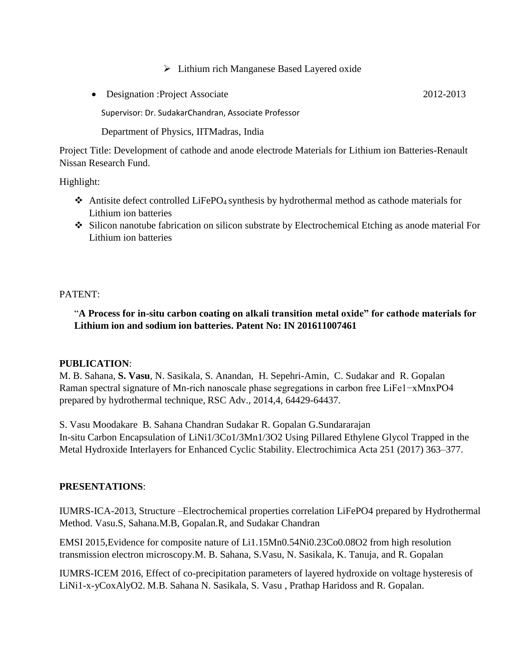### ➢ Lithium rich Manganese Based Layered oxide

• Designation :Project Associate 2012-2013

Supervisor: Dr. SudakarChandran, Associate Professor

Department of Physics, IITMadras, India

Project Title: Development of cathode and anode electrode Materials for Lithium ion Batteries-Renault Nissan Research Fund.

Highlight:

- ❖ Antisite defect controlled LiFePO4 synthesis by hydrothermal method as cathode materials for Lithium ion batteries
- ❖ Silicon nanotube fabrication on silicon substrate by Electrochemical Etching as anode material For Lithium ion batteries

PATENT:

## "**A Process for in-situ carbon coating on alkali transition metal oxide" for cathode materials for Lithium ion and sodium ion batteries. Patent No: IN 201611007461**

### **PUBLICATION**:

M. B. Sahana, **S. Vasu**, N. Sasikala, S. Anandan, H. Sepehri-Amin, C. Sudakar and R. Gopalan Raman spectral signature of Mn-rich nanoscale phase segregations in carbon free LiFe1−xMnxPO4 prepared by hydrothermal technique, RSC Adv., 2014,4, 64429-64437.

S. Vasu Moodakare B. Sahana Chandran Sudakar R. Gopalan G.Sundararajan In-situ Carbon Encapsulation of LiNi1/3Co1/3Mn1/3O2 Using Pillared Ethylene Glycol Trapped in the Metal Hydroxide Interlayers for Enhanced Cyclic Stability. Electrochimica Acta 251 (2017) 363–377.

### **PRESENTATIONS**:

IUMRS-ICA-2013, Structure –Electrochemical properties correlation LiFePO4 prepared by Hydrothermal Method. Vasu.S, Sahana.M.B, Gopalan.R, and Sudakar Chandran

EMSI 2015,Evidence for composite nature of Li1.15Mn0.54Ni0.23Co0.08O2 from high resolution transmission electron microscopy.M. B. Sahana, S.Vasu, N. Sasikala, K. Tanuja, and R. Gopalan

IUMRS-ICEM 2016, Effect of co-precipitation parameters of layered hydroxide on voltage hysteresis of LiNi1-x-yCoxAlyO2. M.B. Sahana N. Sasikala, S. Vasu , Prathap Haridoss and R. Gopalan.